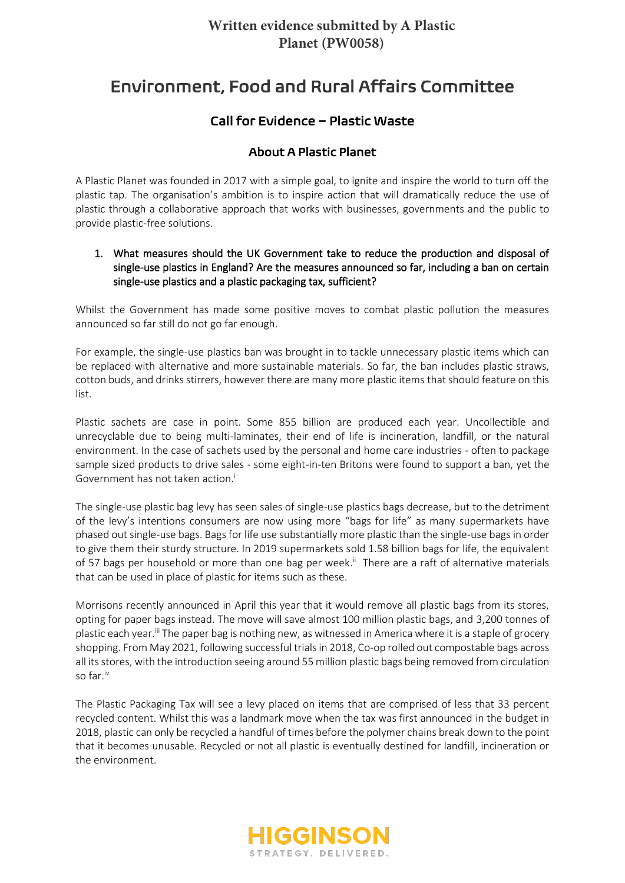# **Written evidence submitted by A Plastic Planet (PW0058)**

# Environment, Food and Rural Affairs Committee

## Call for Evidence – Plastic Waste

## About A Plastic Planet

A Plastic Planet was founded in 2017 with a simple goal, to ignite and inspire the world to turn off the plastic tap. The organisation's ambition is to inspire action that will dramatically reduce the use of plastic through a collaborative approach that works with businesses, governments and the public to provide plastic-free solutions.

#### 1. What measures should the UK Government take to reduce the production and disposal of single-use plastics in England? Are the measures announced so far, including a ban on certain single-use plastics and a plastic packaging tax, sufficient?

Whilst the Government has made some positive moves to combat plastic pollution the measures announced so far still do not go far enough.

For example, the single-use plastics ban was brought in to tackle unnecessary plastic items which can be replaced with alternative and more sustainable materials. So far, the ban includes plastic straws, cotton buds, and drinks stirrers, however there are many more plastic items that should feature on this list.

Plastic sachets are case in point. Some 855 billion are produced each year. Uncollectible and unrecyclable due to being multi-laminates, their end of life is incineration, landfill, or the natural environment. In the case of sachets used by the personal and home care industries - often to package sample sized products to drive sales - some eight-in-ten Britons were found to support a ban, yet the Government has not taken action.

The single-use plastic bag levy has seen sales of single-use plastics bags decrease, but to the detriment of the levy's intentions consumers are now using more "bags for life" as many supermarkets have phased out single-use bags. Bags for life use substantially more plastic than the single-use bags in order to give them their sturdy structure. In 2019 supermarkets sold 1.58 billion bags for life, the equivalent of 57 bags per household or more than one bag per week.<sup>ii</sup> There are a raft of alternative materials that can be used in place of plastic for items such as these.

Morrisons recently announced in April this year that it would remove all plastic bags from its stores, opting for paper bags instead. The move will save almost 100 million plastic bags, and 3,200 tonnes of plastic each year.<sup>iii</sup> The paper bag is nothing new, as witnessed in America where it is a staple of grocery shopping. From May 2021, following successful trials in 2018, Co-op rolled out compostable bags across all its stores, with the introduction seeing around 55 million plastic bags being removed from circulation so far.iv

The Plastic Packaging Tax will see a levy placed on items that are comprised of less that 33 percent recycled content. Whilst this was a landmark move when the tax was first announced in the budget in 2018, plastic can only be recycled a handful of times before the polymer chains break down to the point that it becomes unusable. Recycled or not all plastic is eventually destined for landfill, incineration or the environment.

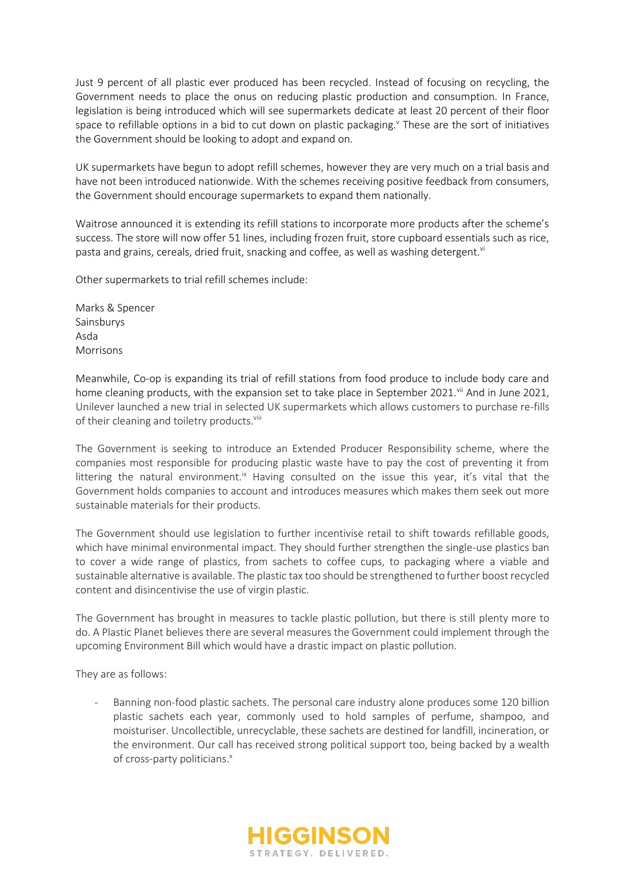Just 9 percent of all plastic ever produced has been recycled. Instead of focusing on recycling, the Government needs to place the onus on reducing plastic production and consumption. In France, legislation is being introduced which will see supermarkets dedicate at least 20 percent of their floor space to refillable options in a bid to cut down on plastic packaging.<sup>y</sup> These are the sort of initiatives the Government should be looking to adopt and expand on.

UK supermarkets have begun to adopt refill schemes, however they are very much on a trial basis and have not been introduced nationwide. With the schemes receiving positive feedback from consumers, the Government should encourage supermarkets to expand them nationally.

Waitrose announced it is extending its refill stations to incorporate more products after the scheme's success. The store will now offer 51 lines, including frozen fruit, store cupboard essentials such as rice, pasta and grains, cereals, dried fruit, snacking and coffee, as well as washing detergent.<sup>vi</sup>

Other supermarkets to trial refill schemes include:

Marks & Spencer Sainsburys Asda Morrisons

Meanwhile, Co-op is expanding its trial of refill stations from food produce to include body care and home cleaning products, with the expansion set to take place in September 2021.<sup>vii</sup> And in June 2021, Unilever launched a new trial in selected UK supermarkets which allows customers to purchase re-fills of their cleaning and toiletry products.<sup>viii</sup>

The Government is seeking to introduce an Extended Producer Responsibility scheme, where the companies most responsible for producing plastic waste have to pay the cost of preventing it from littering the natural environment.<sup>ix</sup> Having consulted on the issue this year, it's vital that the Government holds companies to account and introduces measures which makes them seek out more sustainable materials for their products.

The Government should use legislation to further incentivise retail to shift towards refillable goods, which have minimal environmental impact. They should further strengthen the single-use plastics ban to cover a wide range of plastics, from sachets to coffee cups, to packaging where a viable and sustainable alternative is available. The plastic tax too should be strengthened to further boost recycled content and disincentivise the use of virgin plastic.

The Government has brought in measures to tackle plastic pollution, but there is still plenty more to do. A Plastic Planet believes there are several measures the Government could implement through the upcoming Environment Bill which would have a drastic impact on plastic pollution.

They are as follows:

Banning non-food plastic sachets. The personal care industry alone produces some 120 billion plastic sachets each year, commonly used to hold samples of perfume, shampoo, and moisturiser. Uncollectible, unrecyclable, these sachets are destined for landfill, incineration, or the environment. Our call has received strong political support too, being backed by a wealth of cross-party politicians.<sup>x</sup>

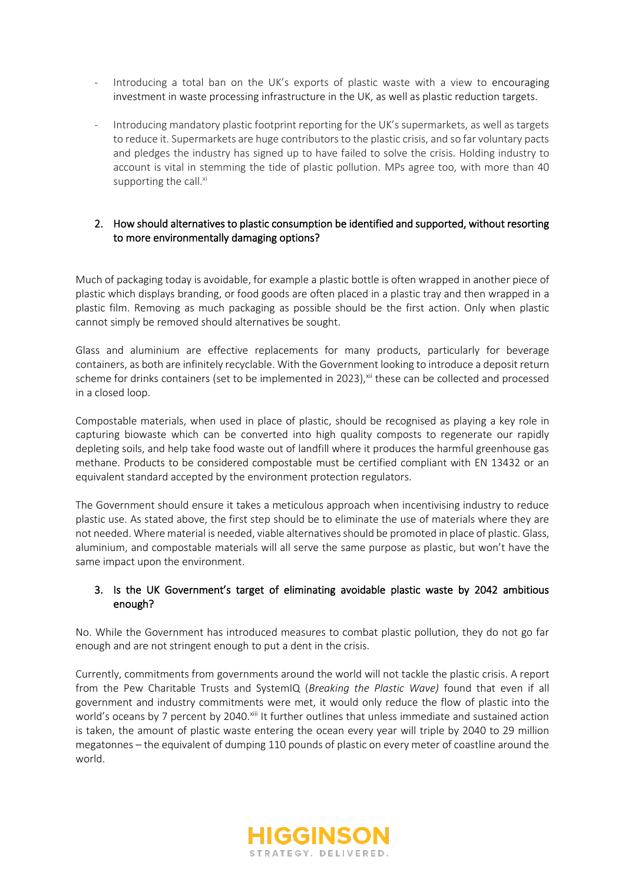- Introducing a total ban on the UK's exports of plastic waste with a view to encouraging investment in waste processing infrastructure in the UK, as well as plastic reduction targets.
- Introducing mandatory plastic footprint reporting for the UK's supermarkets, as well as targets to reduce it. Supermarkets are huge contributors to the plastic crisis, and so far voluntary pacts and pledges the industry has signed up to have failed to solve the crisis. Holding industry to account is vital in stemming the tide of plastic pollution. MPs agree too, with more than 40 supporting the call.<sup>xi</sup>

#### 2. How should alternatives to plastic consumption be identified and supported, without resorting to more environmentally damaging options?

Much of packaging today is avoidable, for example a plastic bottle is often wrapped in another piece of plastic which displays branding, or food goods are often placed in a plastic tray and then wrapped in a plastic film. Removing as much packaging as possible should be the first action. Only when plastic cannot simply be removed should alternatives be sought.

Glass and aluminium are effective replacements for many products, particularly for beverage containers, as both are infinitely recyclable. With the Government looking to introduce a deposit return scheme for drinks containers (set to be implemented in 2023), xii these can be collected and processed in a closed loop.

Compostable materials, when used in place of plastic, should be recognised as playing a key role in capturing biowaste which can be converted into high quality composts to regenerate our rapidly depleting soils, and help take food waste out of landfill where it produces the harmful greenhouse gas methane. Products to be considered compostable must be certified compliant with EN 13432 or an equivalent standard accepted by the environment protection regulators.

The Government should ensure it takes a meticulous approach when incentivising industry to reduce plastic use. As stated above, the first step should be to eliminate the use of materials where they are not needed. Where material is needed, viable alternatives should be promoted in place of plastic. Glass, aluminium, and compostable materials will all serve the same purpose as plastic, but won't have the same impact upon the environment.

#### 3. Is the UK Government's target of eliminating avoidable plastic waste by 2042 ambitious enough?

No. While the Government has introduced measures to combat plastic pollution, they do not go far enough and are not stringent enough to put a dent in the crisis.

Currently, commitments from governments around the world will not tackle the plastic crisis. A report from the Pew Charitable Trusts and SystemIQ (*Breaking the Plastic Wave)* found that even if all government and industry commitments were met, it would only reduce the flow of plastic into the world's oceans by 7 percent by 2040. Xiii It further outlines that unless immediate and sustained action is taken, the amount of plastic waste entering the ocean every year will triple by 2040 to 29 million megatonnes – the equivalent of dumping 110 pounds of plastic on every meter of coastline around the world.

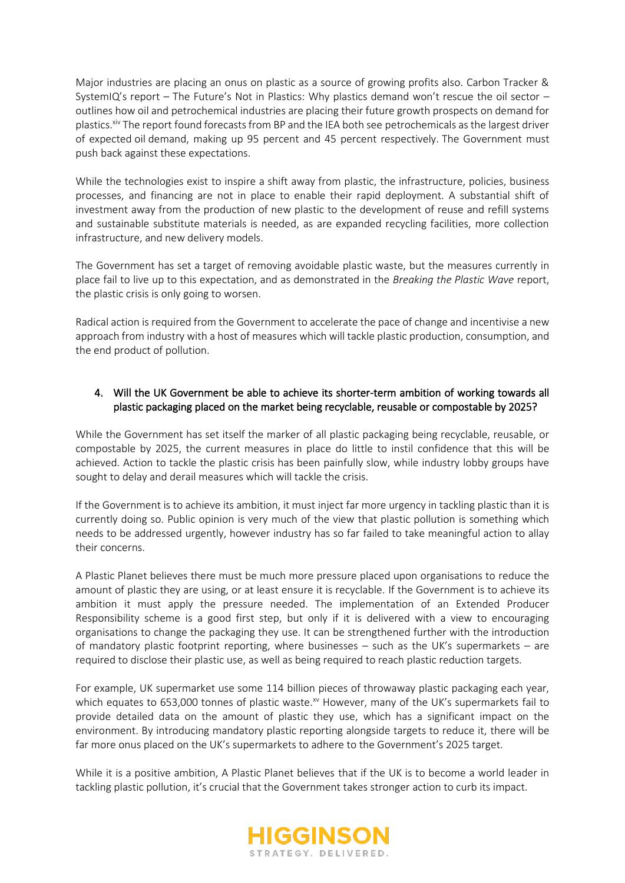Major industries are placing an onus on plastic as a source of growing profits also. Carbon Tracker & SystemIQ's report – The Future's Not in Plastics: Why plastics demand won't rescue the oil sector – outlines how oil and petrochemical industries are placing their future growth prospects on demand for plastics.<sup>xiv</sup> The report found forecasts from BP and the IEA both see petrochemicals as the largest driver of expected oil demand, making up 95 percent and 45 percent respectively. The Government must push back against these expectations.

While the technologies exist to inspire a shift away from plastic, the infrastructure, policies, business processes, and financing are not in place to enable their rapid deployment. A substantial shift of investment away from the production of new plastic to the development of reuse and refill systems and sustainable substitute materials is needed, as are expanded recycling facilities, more collection infrastructure, and new delivery models.

The Government has set a target of removing avoidable plastic waste, but the measures currently in place fail to live up to this expectation, and as demonstrated in the *Breaking the Plastic Wave* report, the plastic crisis is only going to worsen.

Radical action is required from the Government to accelerate the pace of change and incentivise a new approach from industry with a host of measures which will tackle plastic production, consumption, and the end product of pollution.

## 4. Will the UK Government be able to achieve its shorter-term ambition of working towards all plastic packaging placed on the market being recyclable, reusable or compostable by 2025?

While the Government has set itself the marker of all plastic packaging being recyclable, reusable, or compostable by 2025, the current measures in place do little to instil confidence that this will be achieved. Action to tackle the plastic crisis has been painfully slow, while industry lobby groups have sought to delay and derail measures which will tackle the crisis.

If the Government is to achieve its ambition, it must inject far more urgency in tackling plastic than it is currently doing so. Public opinion is very much of the view that plastic pollution is something which needs to be addressed urgently, however industry has so far failed to take meaningful action to allay their concerns.

A Plastic Planet believes there must be much more pressure placed upon organisations to reduce the amount of plastic they are using, or at least ensure it is recyclable. If the Government is to achieve its ambition it must apply the pressure needed. The implementation of an Extended Producer Responsibility scheme is a good first step, but only if it is delivered with a view to encouraging organisations to change the packaging they use. It can be strengthened further with the introduction of mandatory plastic footprint reporting, where businesses – such as the UK's supermarkets – are required to disclose their plastic use, as well as being required to reach plastic reduction targets.

For example, UK supermarket use some 114 billion pieces of throwaway plastic packaging each year, which equates to 653,000 tonnes of plastic waste.<sup>xv</sup> However, many of the UK's supermarkets fail to provide detailed data on the amount of plastic they use, which has a significant impact on the environment. By introducing mandatory plastic reporting alongside targets to reduce it, there will be far more onus placed on the UK's supermarkets to adhere to the Government's 2025 target.

While it is a positive ambition, A Plastic Planet believes that if the UK is to become a world leader in tackling plastic pollution, it's crucial that the Government takes stronger action to curb its impact.

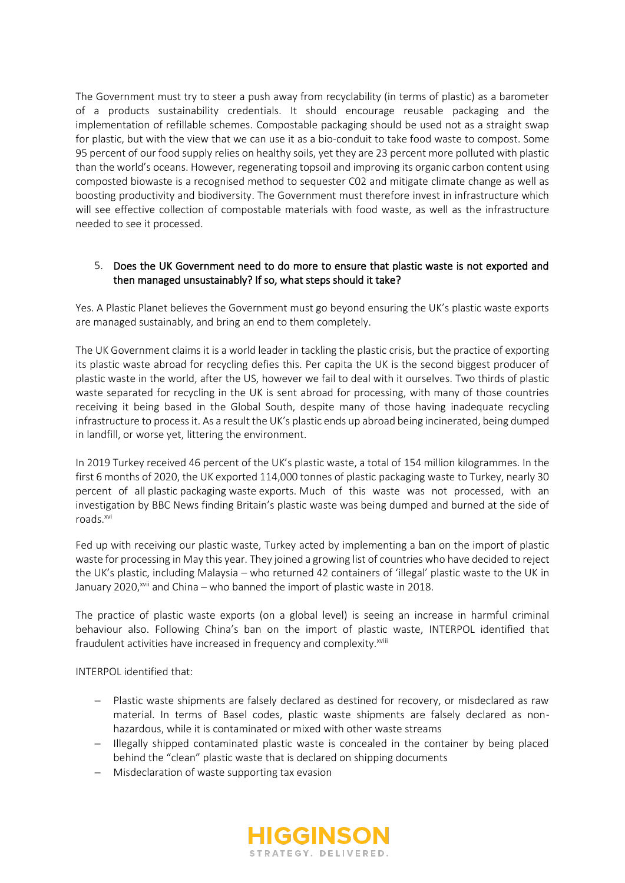The Government must try to steer a push away from recyclability (in terms of plastic) as a barometer of a products sustainability credentials. It should encourage reusable packaging and the implementation of refillable schemes. Compostable packaging should be used not as a straight swap for plastic, but with the view that we can use it as a bio-conduit to take food waste to compost. Some 95 percent of our food supply relies on healthy soils, yet they are 23 percent more polluted with plastic than the world's oceans. However, regenerating topsoil and improving its organic carbon content using composted biowaste is a recognised method to sequester C02 and mitigate climate change as well as boosting productivity and biodiversity. The Government must therefore invest in infrastructure which will see effective collection of compostable materials with food waste, as well as the infrastructure needed to see it processed.

### 5. Does the UK Government need to do more to ensure that plastic waste is not exported and then managed unsustainably? If so, what steps should it take?

Yes. A Plastic Planet believes the Government must go beyond ensuring the UK's plastic waste exports are managed sustainably, and bring an end to them completely.

The UK Government claims it is a world leader in tackling the plastic crisis, but the practice of exporting its plastic waste abroad for recycling defies this. Per capita the UK is the second biggest producer of plastic waste in the world, after the US, however we fail to deal with it ourselves. Two thirds of plastic waste separated for recycling in the UK is sent abroad for processing, with many of those countries receiving it being based in the Global South, despite many of those having inadequate recycling infrastructure to process it. As a result the UK's plastic ends up abroad being incinerated, being dumped in landfill, or worse yet, littering the environment.

In 2019 Turkey received 46 percent of the UK's plastic waste, a total of 154 million kilogrammes. In the first 6 months of 2020, the UK exported 114,000 tonnes of plastic packaging waste to Turkey, nearly 30 percent of all plastic packaging waste exports. Much of this waste was not processed, with an investigation by BBC News finding Britain's plastic waste was being dumped and burned at the side of roads.xvi

Fed up with receiving our plastic waste, Turkey acted by implementing a ban on the import of plastic waste for processing in May this year. They joined a growing list of countries who have decided to reject the UK's plastic, including Malaysia – who returned 42 containers of 'illegal' plastic waste to the UK in January 2020,<sup>xvii</sup> and China – who banned the import of plastic waste in 2018.

The practice of plastic waste exports (on a global level) is seeing an increase in harmful criminal behaviour also. Following China's ban on the import of plastic waste, INTERPOL identified that fraudulent activities have increased in frequency and complexity.<sup>xviii</sup>

INTERPOL identified that:

- − Plastic waste shipments are falsely declared as destined for recovery, or misdeclared as raw material. In terms of Basel codes, plastic waste shipments are falsely declared as nonhazardous, while it is contaminated or mixed with other waste streams
- − Illegally shipped contaminated plastic waste is concealed in the container by being placed behind the "clean" plastic waste that is declared on shipping documents
- − Misdeclaration of waste supporting tax evasion

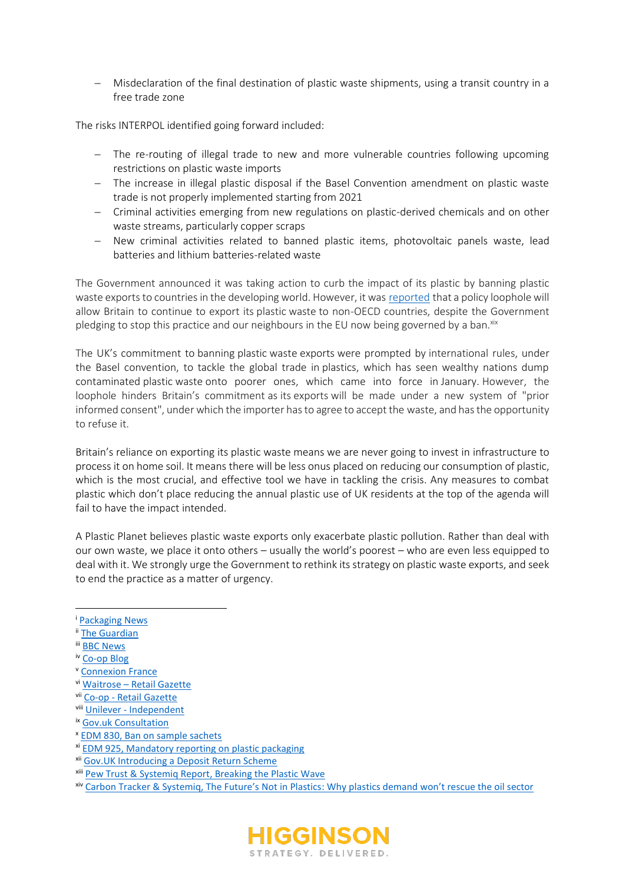− Misdeclaration of the final destination of plastic waste shipments, using a transit country in a free trade zone

The risks INTERPOL identified going forward included:

- − The re-routing of illegal trade to new and more vulnerable countries following upcoming restrictions on plastic waste imports
- − The increase in illegal plastic disposal if the Basel Convention amendment on plastic waste trade is not properly implemented starting from 2021
- − Criminal activities emerging from new regulations on plastic-derived chemicals and on other waste streams, particularly copper scraps
- − New criminal activities related to banned plastic items, photovoltaic panels waste, lead batteries and lithium batteries-related waste

The Government announced it was taking action to curb the impact of its plastic by banning plastic waste exports to countries in the developing world. However, it was reported that a policy loophole will allow Britain to continue to export its plastic waste to non-OECD countries, despite the Government pledging to stop this practice and our neighbours in the EU now being governed by a ban. xix

The UK's commitment to banning plastic waste exports were prompted by international rules, under the Basel convention, to tackle the global trade in plastics, which has seen wealthy nations dump contaminated plastic waste onto poorer ones, which came into force in January. However, the loophole hinders Britain's commitment as its exports will be made under a new system of "prior informed consent", under which the importer has to agree to accept the waste, and has the opportunity to refuse it.   

Britain's reliance on exporting its plastic waste means we are never going to invest in infrastructure to process it on home soil. It means there will be less onus placed on reducing our consumption of plastic, which is the most crucial, and effective tool we have in tackling the crisis. Any measures to combat plastic which don't place reducing the annual plastic use of UK residents at the top of the agenda will fail to have the impact intended.

A Plastic Planet believes plastic waste exports only exacerbate plastic pollution. Rather than deal with our own waste, we place it onto others – usually the world's poorest – who are even less equipped to deal with it. We strongly urge the Government to rethink its strategy on plastic waste exports, and seek to end the practice as a matter of urgency.

- iii [BBC News](https://www.bbc.co.uk/news/business-56673900)
- iv [Co-op Blog](https://blog.coop.co.uk/2021/04/30/co-op-rolls-out-100-compostable-bags-across-all-stores/)
- <sup>v</sup> [Connexion France](https://www.connexionfrance.com/French-news/Supermarkets-in-France-set-to-swap-plastic-packaging-for-refill-stations)
- vi Waitrose [Retail Gazette](https://www.retailgazette.co.uk/blog/2021/01/waitrose-unveils-latest-rollout-plans-for-refillables-scheme/)
- vii Co-op [Retail Gazette](https://www.retailgazette.co.uk/blog/2021/07/central-england-co-op-extends-refill-trial-to-include-non-food-products/)
- viii Unilever [Independent](https://www.independent.co.uk/climate-change/sustainable-living/refill-products-asda-coop-cleaning-toiletries-b1867676.html)
- ix [Gov.uk Consultation](https://www.gov.uk/government/consultations/packaging-and-packaging-waste-introducing-extended-producer-responsibility)
- <sup>x</sup> [EDM 830, Ban on sample sachets](https://edm.parliament.uk/early-day-motion/57372/ban-on-sample-sachets)
- xi [EDM 925, Mandatory reporting on plastic packaging](https://edm.parliament.uk/early-day-motion/57478/mandatory-reporting-on-plastic-packaging)
- xii [Gov.UK Introducing a Deposit Return Scheme](https://www.gov.uk/government/consultations/introducing-a-deposit-return-scheme-drs-for-drinks-containers-bottles-and-cans/outcome/introducing-a-deposit-return-scheme-drs-in-england-wales-and-northern-ireland-executive-summary-and-next-steps)
- xiii [Pew Trust & Systemiq Report, Breaking the Plastic Wave](https://www.systemiq.earth/breakingtheplasticwave/)
- xiv [Carbon Tracker & Systemiq, The Future's Not in Plastics: Why plastics demand won't rescue the oil sector](https://carbontracker.org/reports/the-futures-not-in-plastics/)



<sup>i</sup> [Packaging News](https://www.packagingnews.co.uk/news/environment/single-use/poll-shows-uk-support-plastic-sample-sachet-ban-12-04-2021)

ii [The Guardian](https://www.theguardian.com/environment/2021/apr/18/supermarket-bags-for-life-must-cost-more-to-cut-plastic-use-urge-campaigners)